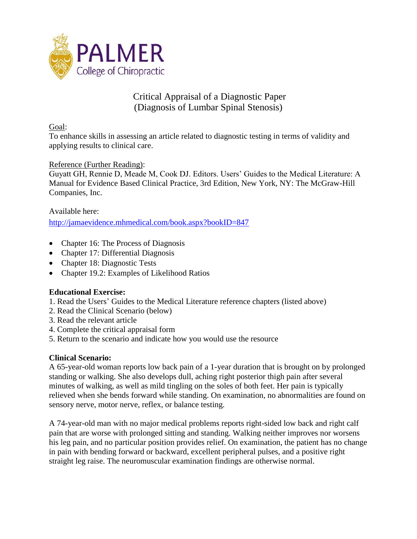

# Critical Appraisal of a Diagnostic Paper (Diagnosis of Lumbar Spinal Stenosis)

Goal:

To enhance skills in assessing an article related to diagnostic testing in terms of validity and applying results to clinical care.

## Reference (Further Reading):

Guyatt GH, Rennie D, Meade M, Cook DJ. Editors. Users' Guides to the Medical Literature: A Manual for Evidence Based Clinical Practice, 3rd Edition, New York, NY: The McGraw-Hill Companies, Inc.

## Available here:

<http://jamaevidence.mhmedical.com/book.aspx?bookID=847>

- Chapter 16: The Process of Diagnosis
- Chapter 17: Differential Diagnosis
- Chapter 18: Diagnostic Tests
- Chapter 19.2: Examples of Likelihood Ratios

#### **Educational Exercise:**

- 1. Read the Users' Guides to the Medical Literature reference chapters (listed above)
- 2. Read the Clinical Scenario (below)
- 3. Read the relevant article
- 4. Complete the critical appraisal form
- 5. Return to the scenario and indicate how you would use the resource

# **Clinical Scenario:**

A 65-year-old woman reports low back pain of a 1-year duration that is brought on by prolonged standing or walking. She also develops dull, aching right posterior thigh pain after several minutes of walking, as well as mild tingling on the soles of both feet. Her pain is typically relieved when she bends forward while standing. On examination, no abnormalities are found on sensory nerve, motor nerve, reflex, or balance testing.

A 74-year-old man with no major medical problems reports right-sided low back and right calf pain that are worse with prolonged sitting and standing. Walking neither improves nor worsens his leg pain, and no particular position provides relief. On examination, the patient has no change in pain with bending forward or backward, excellent peripheral pulses, and a positive right straight leg raise. The neuromuscular examination findings are otherwise normal.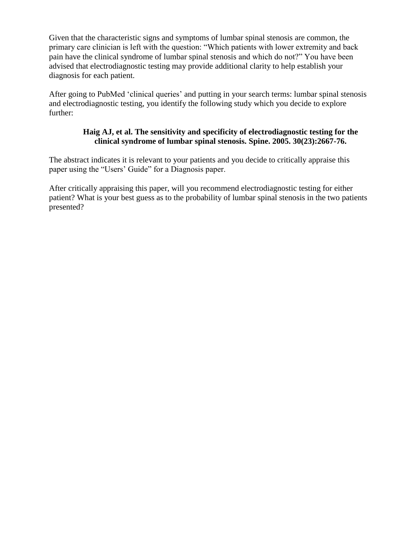Given that the characteristic signs and symptoms of lumbar spinal stenosis are common, the primary care clinician is left with the question: "Which patients with lower extremity and back pain have the clinical syndrome of lumbar spinal stenosis and which do not?" You have been advised that electrodiagnostic testing may provide additional clarity to help establish your diagnosis for each patient.

After going to PubMed 'clinical queries' and putting in your search terms: lumbar spinal stenosis and electrodiagnostic testing, you identify the following study which you decide to explore further:

#### **Haig AJ, et al. The sensitivity and specificity of electrodiagnostic testing for the clinical syndrome of lumbar spinal stenosis. Spine. 2005. 30(23):2667-76.**

The abstract indicates it is relevant to your patients and you decide to critically appraise this paper using the "Users' Guide" for a Diagnosis paper.

After critically appraising this paper, will you recommend electrodiagnostic testing for either patient? What is your best guess as to the probability of lumbar spinal stenosis in the two patients presented?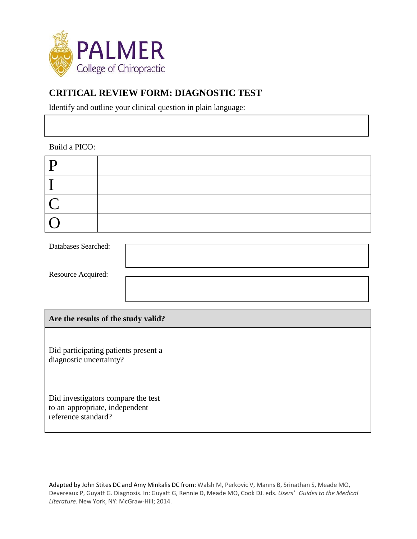

# **CRITICAL REVIEW FORM: DIAGNOSTIC TEST**

Identify and outline your clinical question in plain language:

## Build a PICO:

| D                        |  |
|--------------------------|--|
|                          |  |
| $\overline{\phantom{a}}$ |  |
|                          |  |

| Databases Searched: |  |
|---------------------|--|
| Resource Acquired:  |  |
|                     |  |

| Are the results of the study valid?                                                         |  |  |
|---------------------------------------------------------------------------------------------|--|--|
| Did participating patients present a<br>diagnostic uncertainty?                             |  |  |
| Did investigators compare the test<br>to an appropriate, independent<br>reference standard? |  |  |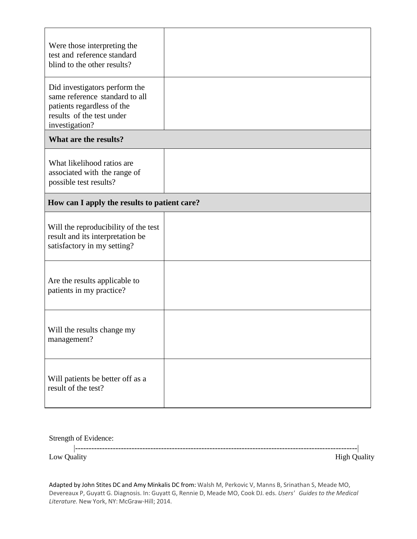| Were those interpreting the<br>test and reference standard<br>blind to the other results?                                                    |  |  |
|----------------------------------------------------------------------------------------------------------------------------------------------|--|--|
| Did investigators perform the<br>same reference standard to all<br>patients regardless of the<br>results of the test under<br>investigation? |  |  |
| What are the results?                                                                                                                        |  |  |
| What likelihood ratios are<br>associated with the range of<br>possible test results?                                                         |  |  |
| How can I apply the results to patient care?                                                                                                 |  |  |
| Will the reproducibility of the test<br>result and its interpretation be<br>satisfactory in my setting?                                      |  |  |
| Are the results applicable to<br>patients in my practice?                                                                                    |  |  |
| Will the results change my<br>management?                                                                                                    |  |  |
| Will patients be better off as a<br>result of the test?                                                                                      |  |  |

Strength of Evidence:

--------------------------------------------------------------------------------------------------------- Low Quality High Quality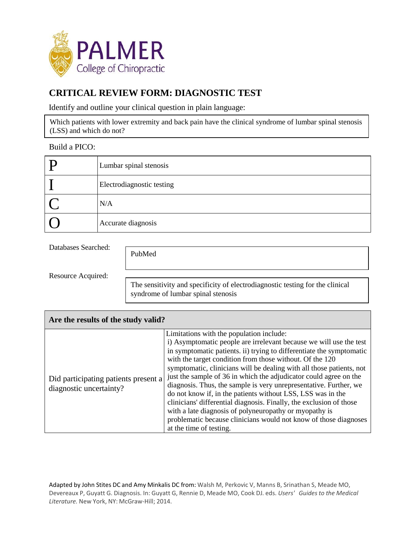

# **CRITICAL REVIEW FORM: DIAGNOSTIC TEST**

Identify and outline your clinical question in plain language:

Which patients with lower extremity and back pain have the clinical syndrome of lumbar spinal stenosis (LSS) and which do not?

#### Build a PICO:

| Lumbar spinal stenosis    |
|---------------------------|
| Electrodiagnostic testing |
| N/A                       |
| Accurate diagnosis        |

Databases Searched:

PubMed

Resource Acquired:

The sensitivity and specificity of electrodiagnostic testing for the clinical syndrome of lumbar spinal stenosis

| Are the results of the study valid?                             |                                                                                                                                                                                                                                                                                                                                                                                                                                                                                                                                                                                                                                                                                                                                                                     |  |  |
|-----------------------------------------------------------------|---------------------------------------------------------------------------------------------------------------------------------------------------------------------------------------------------------------------------------------------------------------------------------------------------------------------------------------------------------------------------------------------------------------------------------------------------------------------------------------------------------------------------------------------------------------------------------------------------------------------------------------------------------------------------------------------------------------------------------------------------------------------|--|--|
| Did participating patients present a<br>diagnostic uncertainty? | Limitations with the population include:<br>i) Asymptomatic people are irrelevant because we will use the test<br>in symptomatic patients. ii) trying to differentiate the symptomatic<br>with the target condition from those without. Of the 120<br>symptomatic, clinicians will be dealing with all those patients, not<br>just the sample of 36 in which the adjudicator could agree on the<br>diagnosis. Thus, the sample is very unrepresentative. Further, we<br>do not know if, in the patients without LSS, LSS was in the<br>clinicians' differential diagnosis. Finally, the exclusion of those<br>with a late diagnosis of polyneuropathy or myopathy is<br>problematic because clinicians would not know of those diagnoses<br>at the time of testing. |  |  |